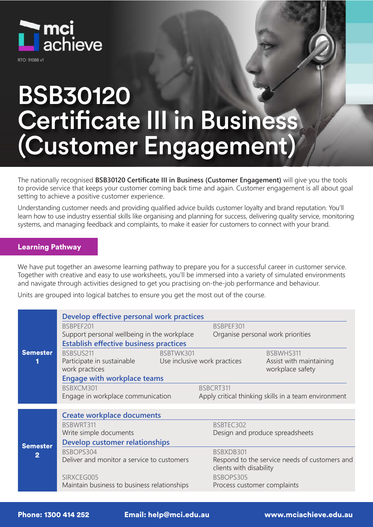

RTO: 91088 v1

# BSB30120 Certificate III in Business (Customer Engagement)

The nationally recognised **BSB30120 Certificate III in Business (Customer Engagement)** will give you the tools to provide service that keeps your customer coming back time and again. Customer engagement is all about goal setting to achieve a positive customer experience.

Understanding customer needs and providing qualified advice builds customer loyalty and brand reputation. You'll learn how to use industry essential skills like organising and planning for success, delivering quality service, monitoring systems, and managing feedback and complaints, to make it easier for customers to connect with your brand.

### Learning Pathway

We have put together an awesome learning pathway to prepare you for a successful career in customer service. Together with creative and easy to use worksheets, you'll be immersed into a variety of simulated environments and navigate through activities designed to get you practising on-the-job performance and behaviour.

Units are grouped into logical batches to ensure you get the most out of the course.

|                                   | Develop effective personal work practices                                                 |                              |                                                                          |  |
|-----------------------------------|-------------------------------------------------------------------------------------------|------------------------------|--------------------------------------------------------------------------|--|
| <b>Semester</b>                   | BSBPEF201<br>BSBPEF301                                                                    |                              |                                                                          |  |
|                                   | Support personal wellbeing in the workplace<br>Organise personal work priorities          |                              |                                                                          |  |
|                                   | <b>Establish effective business practices</b>                                             |                              |                                                                          |  |
|                                   | BSBSUS211                                                                                 | BSBTWK301                    | BSBWHS311                                                                |  |
|                                   | Participate in sustainable<br>work practices                                              | Use inclusive work practices | Assist with maintaining<br>workplace safety                              |  |
|                                   | <b>Engage with workplace teams</b>                                                        |                              |                                                                          |  |
|                                   | BSBXCM301<br>BSBCRT311                                                                    |                              |                                                                          |  |
|                                   | Engage in workplace communication<br>Apply critical thinking skills in a team environment |                              |                                                                          |  |
|                                   |                                                                                           |                              |                                                                          |  |
| <b>Semester</b><br>$\overline{2}$ | <b>Create workplace documents</b>                                                         |                              |                                                                          |  |
|                                   | BSBWRT311                                                                                 | BSBTEC302                    |                                                                          |  |
|                                   | Write simple documents                                                                    |                              | Design and produce spreadsheets                                          |  |
|                                   | Develop customer relationships                                                            |                              |                                                                          |  |
|                                   | BSBOPS304                                                                                 | BSBXDB301                    |                                                                          |  |
|                                   | Deliver and monitor a service to customers                                                |                              | Respond to the service needs of customers and<br>clients with disability |  |
|                                   | SIRXCEG005                                                                                | BSBOPS305                    |                                                                          |  |
|                                   | Maintain business to business relationships                                               |                              | Process customer complaints                                              |  |

Phone: 1300 414 252 Email: help@mci.edu.au www.mciachieve.edu.au